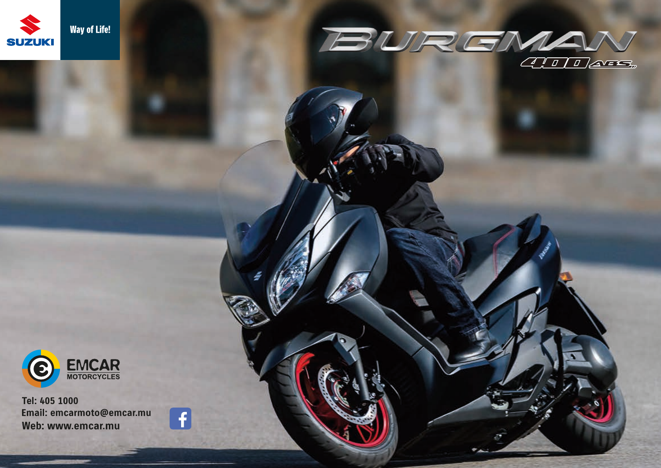

**Way of Life!** 





Tel: 405 1000 Email: emcarmoto@emcar.mu Web: www.emcar.mu